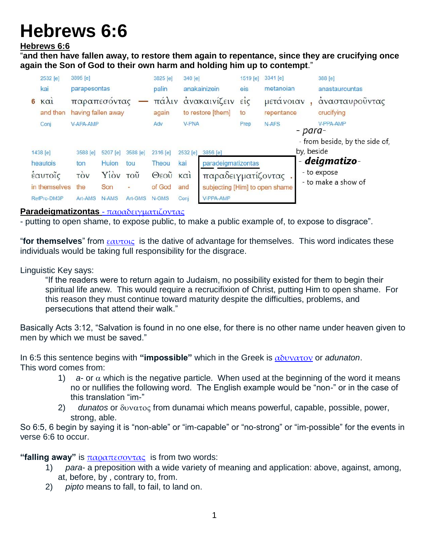# **Hebrews 6:6**

### **Hebrews 6:6**

"**and then have fallen away, to restore them again to repentance, since they are crucifying once again the Son of God to their own harm and holding him up to contempt**."

|               | 2532 [e]  | 3895 [e]                           |              |               | 3825 [e] | 340 [e]           |                                | 1519 [e]  | 3341 [e]                                    |            | 388 [e]                            |  |
|---------------|-----------|------------------------------------|--------------|---------------|----------|-------------------|--------------------------------|-----------|---------------------------------------------|------------|------------------------------------|--|
|               | kai       | parapesontas                       |              |               | palin    |                   | anakainizein                   |           | metanoian                                   |            | anastaurountas                     |  |
| 6             | $K\alpha$ | παραπεσοντας<br>having fallen away |              |               | πάλιν    |                   | ανακαινίζειν είς               |           | μετανοιαν<br>repentance<br>N-AFS<br>- para- |            | άνασταυροὖντας<br>crucifying       |  |
|               | and then  |                                    |              |               | again    | to restore [them] |                                | to        |                                             |            |                                    |  |
|               | Conj      | V-APA-AMP                          |              | Adv           |          | <b>V-PNA</b>      |                                | V-PPA-AMP |                                             |            |                                    |  |
|               |           |                                    |              |               |          |                   |                                |           |                                             |            | - from beside, by the side of,     |  |
|               | 1438 [e]  | 3588 [e]                           | 5207 [e]     | 3588 [e]      | 2316 [e] | 2532 [e]          | 3856 [e]                       |           |                                             | by, beside |                                    |  |
|               | heautois  | ton                                | Huion        | tou           | Theou    | kai               | paradeigmatizontas             |           |                                             |            | - deigmatizo-                      |  |
| έαυτοΐς       |           | <b>TOV</b>                         | Yiov         | $TO\tilde{U}$ | Θεοῦ     | $K\alpha$         | παραδειγματίζοντας             |           |                                             |            | - to expose<br>- to make a show of |  |
| in themselves |           | the                                | Son          | ۰             | of God   | and               | subjecting [Him] to open shame |           |                                             |            |                                    |  |
| RefPro-DM3P   |           | Art-AMS                            | <b>N-AMS</b> | Art-GMS       | N-GMS    | Conj              | V-PPA-AMP                      |           |                                             |            |                                    |  |

#### **Paradeigmatizontas** - [παραδειγματιζοντας](http://strongsnumbers.com/greek/3856.htm)

- putting to open shame, to expose public, to make a public example of, to expose to disgrace".

"**for themselves**" from [εαυτοις](http://strongsnumbers.com/greek/1438.htm) is the dative of advantage for themselves. This word indicates these individuals would be taking full responsibility for the disgrace.

Linguistic Key says:

"If the readers were to return again to Judaism, no possibility existed for them to begin their spiritual life anew. This would require a recrucifixion of Christ, putting Him to open shame. For this reason they must continue toward maturity despite the difficulties, problems, and persecutions that attend their walk."

Basically Acts 3:12, "Salvation is found in no one else, for there is no other name under heaven given to men by which we must be saved."

In 6:5 this sentence begins with **"impossible"** which in the Greek is [αδυνατον](http://strongsnumbers.com/greek/102.htm) or *adunaton*. This word comes from:

- 1) a- or  $\alpha$  which is the negative particle. When used at the beginning of the word it means no or nullifies the following word. The English example would be "non-" or in the case of this translation "im-"
- 2) *dunatos* or  $\delta v v \alpha \tau o \varsigma$  from dunamai which means powerful, capable, possible, power, strong, able.

So 6:5, 6 begin by saying it is "non-able" or "im-capable" or "no-strong" or "im-possible" for the events in verse 6:6 to occur.

"falling away" is  $\pi \alpha$ *ραπεσοντας* is from two words:

- 1) *para* a preposition with a wide variety of meaning and application: above, against, among, at, before, by , contrary to, from.
- 2) *pipto* means to fall, to fail, to land on.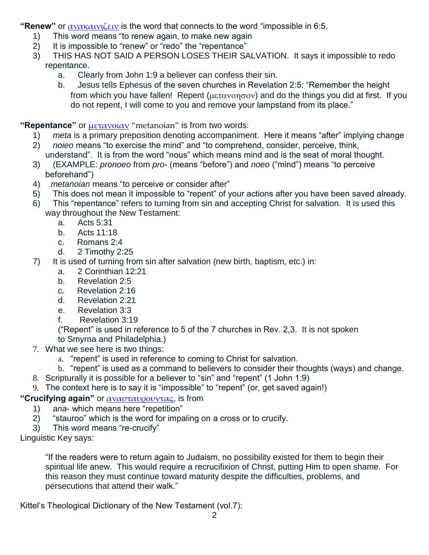**"Renew"** or [ανακαινιζειν](http://strongsnumbers.com/greek/340.htm) is the word that connects to the word "impossible in 6:5.

- 1) This word means "to renew again, to make new again
- 2) It is impossible to "renew" or "redo" the "repentance"
- 3) THIS HAS NOT SAID A PERSON LOSES THEIR SALVATION. It says it impossible to redo repentance.
	- a. Clearly from John 1:9 a believer can confess their sin.
	- b. Jesus tells Ephesus of the seven churches in Revelation 2:5: "Remember the height from which you have fallen! Repent ( $\mu \epsilon \tau \alpha \nu \partial \eta \sigma \partial \nu$ ) and do the things you did at first. If you do not repent, I will come to you and remove your lampstand from its place."

**"Repentance"** or [μετανοιαν](http://strongsnumbers.com/greek/3341.htm) "metanoian" is from two words:

- 1) *meta* is a primary preposition denoting accompaniment. Here it means "after" implying change
- 2) *noieo* means "to exercise the mind" and "to comprehend, consider, perceive, think,
- understand". It is from the word "nous" which means mind and is the seat of moral thought.
- 3) (EXAMPLE: *pronoeo* from *pro* (means "before") and *noeo* ("mind") means "to perceive beforehand")
- 4) *metanoian* means "to perceive or consider after"
- 5) This does not mean it impossible to "repent" of your actions after you have been saved already.
- 6) This "repentance" refers to turning from sin and accepting Christ for salvation. It is used this way throughout the New Testament:
	- a. Acts 5:31
	- b. Acts 11:18
	- c. Romans 2:4
	- d. 2 Timothy 2:25
- 7) It is used of turning from sin after salvation (new birth, baptism, etc.) in:
	- a. 2 Corinthian 12:21
	- b. Revelation 2:5
	- c. Revelation 2:16
	- d. Revelation 2:21
	- e. Revelation 3:3
	- f. Revelation 3:19

("Repent" is used in reference to 5 of the 7 churches in Rev. 2,3. It is not spoken to Smyrna and Philadelphia.)

- 7. What we see here is two things:
	- a. "repent" is used in reference to coming to Christ for salvation.
	- b. "repent" is used as a command to believers to consider their thoughts (ways) and change.
- 8. Scripturally it is possible for a believer to "sin" and "repent" (1 John 1:9)
- 9. The context here is to say it is "impossible" to "repent" (or, get saved again!)

## **"Crucifying again"** or [ανασταυρουντας](http://strongsnumbers.com/greek/388.htm), is from

- 1) *ana* which means here "repetition"<br>2) "stauroo" which is the word for impa
- "stauroo" which is the word for impaling on a cross or to crucify.
- 3) This word means "re-crucify"

Linguistic Key says:

"If the readers were to return again to Judaism, no possibility existed for them to begin their spiritual life anew. This would require a recrucifixion of Christ, putting Him to open shame. For this reason they must continue toward maturity despite the difficulties, problems, and persecutions that attend their walk."

Kittel's Theological Dictionary of the New Testament (vol.7):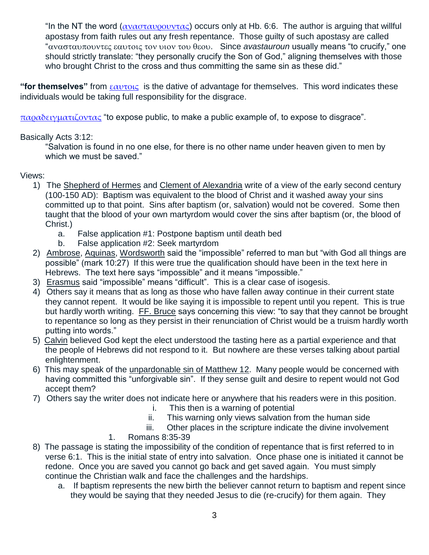"In the NT the word ( $\alpha \nu \alpha \sigma \tau \alpha \nu \rho \sigma \nu \nu \tau \alpha \varsigma$ ) occurs only at Hb. 6:6. The author is arguing that willful apostasy from faith rules out any fresh repentance. Those guilty of such apostasy are called "ανασταυπουντες εαυτοις τον υιον του θεου. Since *avastauroun* usually means "to crucify," one should strictly translate: "they personally crucify the Son of God," aligning themselves with those who brought Christ to the cross and thus committing the same sin as these did."

**"for themselves"** from [εαυτοις](http://strongsnumbers.com/greek/1438.htm) is the dative of advantage for themselves. This word indicates these individuals would be taking full responsibility for the disgrace.

 $\pi\alpha$ ραδειγματιζοντας "to expose public, to make a public example of, to expose to disgrace".

### Basically Acts 3:12:

"Salvation is found in no one else, for there is no other name under heaven given to men by which we must be saved."

### Views:

- 1) The Shepherd of Hermes and Clement of Alexandria write of a view of the early second century (100-150 AD): Baptism was equivalent to the blood of Christ and it washed away your sins committed up to that point. Sins after baptism (or, salvation) would not be covered. Some then taught that the blood of your own martyrdom would cover the sins after baptism (or, the blood of Christ.)
	- a. False application #1: Postpone baptism until death bed
	- b. False application #2: Seek martyrdom
- 2) Ambrose, Aquinas, Wordsworth said the "impossible" referred to man but "with God all things are possible" (mark 10:27) If this were true the qualification should have been in the text here in Hebrews. The text here says "impossible" and it means "impossible."
- 3) Erasmus said "impossible" means "difficult". This is a clear case of isogesis.
- 4) Others say it means that as long as those who have fallen away continue in their current state they cannot repent. It would be like saying it is impossible to repent until you repent. This is true but hardly worth writing. FF. Bruce says concerning this view: "to say that they cannot be brought to repentance so long as they persist in their renunciation of Christ would be a truism hardly worth putting into words."
- 5) Calvin believed God kept the elect understood the tasting here as a partial experience and that the people of Hebrews did not respond to it. But nowhere are these verses talking about partial enlightenment.
- 6) This may speak of the unpardonable sin of Matthew 12. Many people would be concerned with having committed this "unforgivable sin". If they sense guilt and desire to repent would not God accept them?
- 7) Others say the writer does not indicate here or anywhere that his readers were in this position.
	- i. This then is a warning of potential
	- ii. This warning only views salvation from the human side
	- iii. Other places in the scripture indicate the divine involvement
	- 1. Romans 8:35-39
- 8) The passage is stating the impossibility of the condition of repentance that is first referred to in verse 6:1. This is the initial state of entry into salvation. Once phase one is initiated it cannot be redone. Once you are saved you cannot go back and get saved again. You must simply continue the Christian walk and face the challenges and the hardships.
	- a. If baptism represents the new birth the believer cannot return to baptism and repent since they would be saying that they needed Jesus to die (re-crucify) for them again. They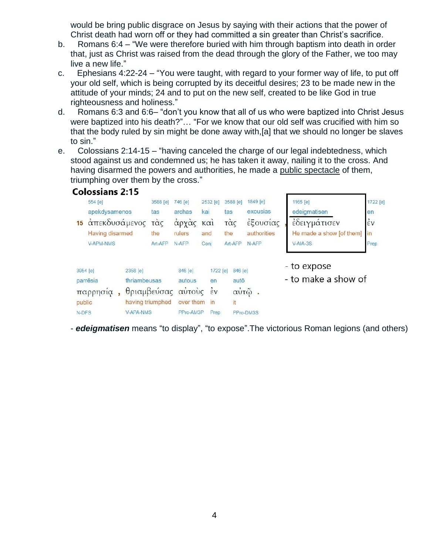would be bring public disgrace on Jesus by saying with their actions that the power of Christ death had worn off or they had committed a sin greater than Christ's sacrifice.

- b. Romans 6:4 "We were therefore buried with him through baptism into death in order that, just as Christ was raised from the dead through the glory of the Father, we too may live a new life."
- c. Ephesians 4:22-24 "You were taught, with regard to your former way of life, to put off your old self, which is being corrupted by its deceitful desires; 23 to be made new in the attitude of your minds; 24 and to put on the new self, created to be like God in true righteousness and holiness."
- d. Romans 6:3 and 6:6– "don't you know that all of us who were baptized into Christ Jesus were baptized into his death?"… "For we know that our old self was crucified with him so that the body ruled by sin might be done away with,[a] that we should no longer be slaves to sin."
- e. Colossians 2:14-15 "having canceled the charge of our legal indebtedness, which stood against us and condemned us; he has taken it away, nailing it to the cross. And having disarmed the powers and authorities, he made a public spectacle of them, triumphing over them by the cross."

|                                                     | <b>Colossians 2:15</b> |                                                                                        |         |                                             |                        |                                                                             |          |                    |                                    |                          |                    |  |
|-----------------------------------------------------|------------------------|----------------------------------------------------------------------------------------|---------|---------------------------------------------|------------------------|-----------------------------------------------------------------------------|----------|--------------------|------------------------------------|--------------------------|--------------------|--|
|                                                     | $554$ [e]              | 3588 [e]                                                                               | 746 [e] |                                             | 2532 [e]               | 3588 [e]                                                                    | 1849 [e] | 1165 [e]           | 1722 [e]                           |                          |                    |  |
|                                                     | apekdysamenos          |                                                                                        | tas     | archas                                      | kai                    |                                                                             | tas      | exousias           | edeigmatisen                       | en                       |                    |  |
|                                                     | 15 απεκδυσάμενος       |                                                                                        | τάς     | αρχας                                       | $K\alpha$ <sub>1</sub> |                                                                             | τὰς      | έξουσίας           | έδειγμάτισεν                       |                          | $\dot{\epsilon}$ v |  |
|                                                     | <b>Having disarmed</b> |                                                                                        | the     | rulers                                      | and                    |                                                                             | the      | authorities        |                                    | He made a show [of them] | in                 |  |
|                                                     | <b>V-APM-NMS</b>       |                                                                                        | Art-AFP | N-AFP                                       | Coni                   |                                                                             | Art-AFP  | N-AFP              | $V-AIA-3S$                         |                          | Prep               |  |
| 3954 [e]<br>parrēsia<br>παρρησία<br>public<br>N-DFS |                        | 2358 [e]<br>thriambeusas<br>θριαμβεύσας αύτους<br>having triumphed<br><b>V-APA-NMS</b> |         | 846 [e]<br>autous<br>over them<br>PPro-AM3P |                        | 1722 [e]<br>846 [e]<br>autō<br>en<br>$\dot{\epsilon}$ v<br>it<br>in<br>Prep |          | αὐτῷ.<br>PPro-DM3S | - to expose<br>- to make a show of |                          |                    |  |

- *edeigmatisen* means "to display", "to expose".The victorious Roman legions (and others)

4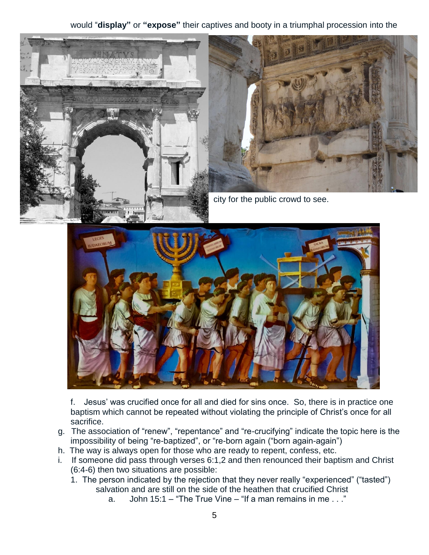would "**display"** or **"expose"** their captives and booty in a triumphal procession into the





city for the public crowd to see.



f. Jesus' was crucified once for all and died for sins once. So, there is in practice one baptism which cannot be repeated without violating the principle of Christ's once for all sacrifice.

- g. The association of "renew", "repentance" and "re-crucifying" indicate the topic here is the impossibility of being "re-baptized", or "re-born again ("born again-again")
- h. The way is always open for those who are ready to repent, confess, etc.
- i. If someone did pass through verses 6:1,2 and then renounced their baptism and Christ (6:4-6) then two situations are possible:
	- 1. The person indicated by the rejection that they never really "experienced" ("tasted") salvation and are still on the side of the heathen that crucified Christ
		- a. John 15:1 "The True Vine "If a man remains in me  $\ldots$ "